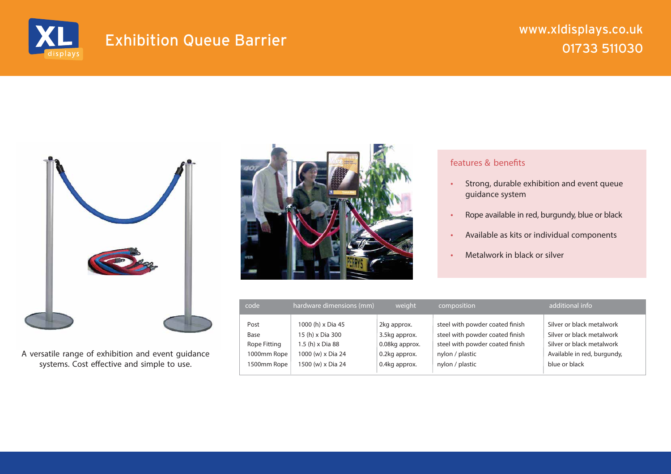

## 01733 511030 Exhibition Queue Barrier

## www.xldisplays.co.uk



A versatile range of exhibition and event guidance systems. Cost effective and simple to use.



## features & benefits

- Strong, durable exhibition and event queue guidance system
- Rope available in red, burgundy, blue or black
- Available as kits or individual components
- Metalwork in black or silver

| code         | hardware dimensions (mm) | weight         | composition                     | additional info             |
|--------------|--------------------------|----------------|---------------------------------|-----------------------------|
| Post         | 1000 (h) x Dia 45        | 2kg approx.    | steel with powder coated finish | Silver or black metalwork   |
| Base         | 15 (h) x Dia 300         | 3.5kg approx.  | steel with powder coated finish | Silver or black metalwork   |
| Rope Fitting | 1.5 (h) x Dia 88         | 0.08kg approx. | steel with powder coated finish | Silver or black metalwork   |
| 1000mm Rope  | 1000 (w) x Dia 24        | 0.2kg approx.  | nylon / plastic                 | Available in red, burgundy, |
| 1500mm Rope  | 1500 (w) x Dia 24        | 0.4kg approx.  | nylon / plastic                 | blue or black               |